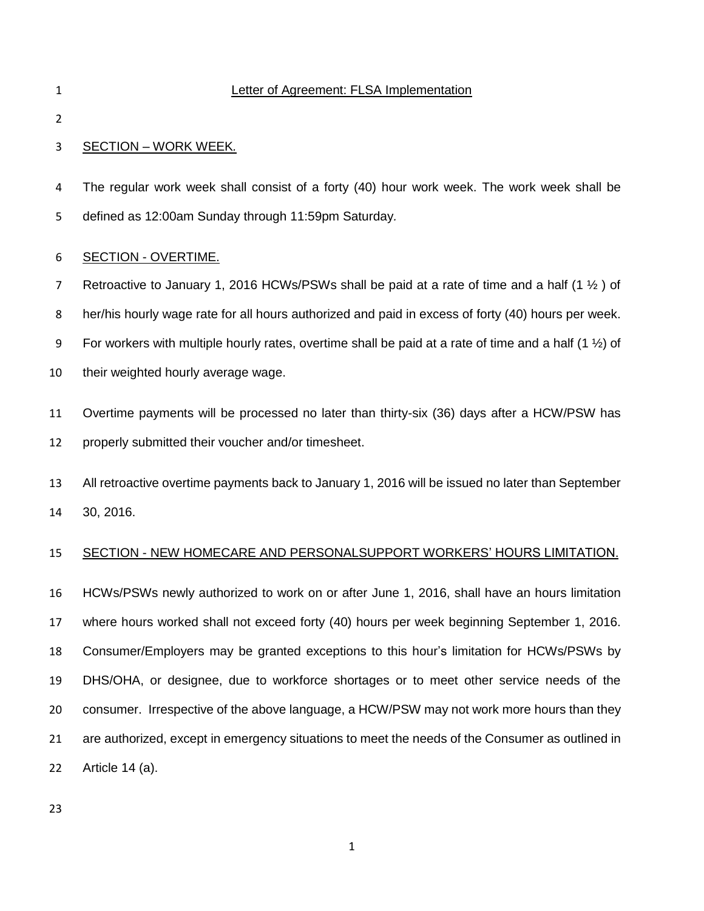#### Letter of Agreement: FLSA Implementation

## SECTION – WORK WEEK*.*

 The regular work week shall consist of a forty (40) hour work week. The work week shall be defined as 12:00am Sunday through 11:59pm Saturday*.*

#### SECTION - OVERTIME.

7 Retroactive to January 1, 2016 HCWs/PSWs shall be paid at a rate of time and a half (1  $\frac{1}{2}$ ) of her/his hourly wage rate for all hours authorized and paid in excess of forty (40) hours per week. 9 For workers with multiple hourly rates, overtime shall be paid at a rate of time and a half (1  $\frac{1}{2}$ ) of their weighted hourly average wage.

 Overtime payments will be processed no later than thirty-six (36) days after a HCW/PSW has properly submitted their voucher and/or timesheet.

 All retroactive overtime payments back to January 1, 2016 will be issued no later than September 30, 2016.

### SECTION - NEW HOMECARE AND PERSONALSUPPORT WORKERS' HOURS LIMITATION.

 HCWs/PSWs newly authorized to work on or after June 1, 2016, shall have an hours limitation where hours worked shall not exceed forty (40) hours per week beginning September 1, 2016. Consumer/Employers may be granted exceptions to this hour's limitation for HCWs/PSWs by DHS/OHA, or designee, due to workforce shortages or to meet other service needs of the consumer. Irrespective of the above language, a HCW/PSW may not work more hours than they are authorized, except in emergency situations to meet the needs of the Consumer as outlined in Article 14 (a).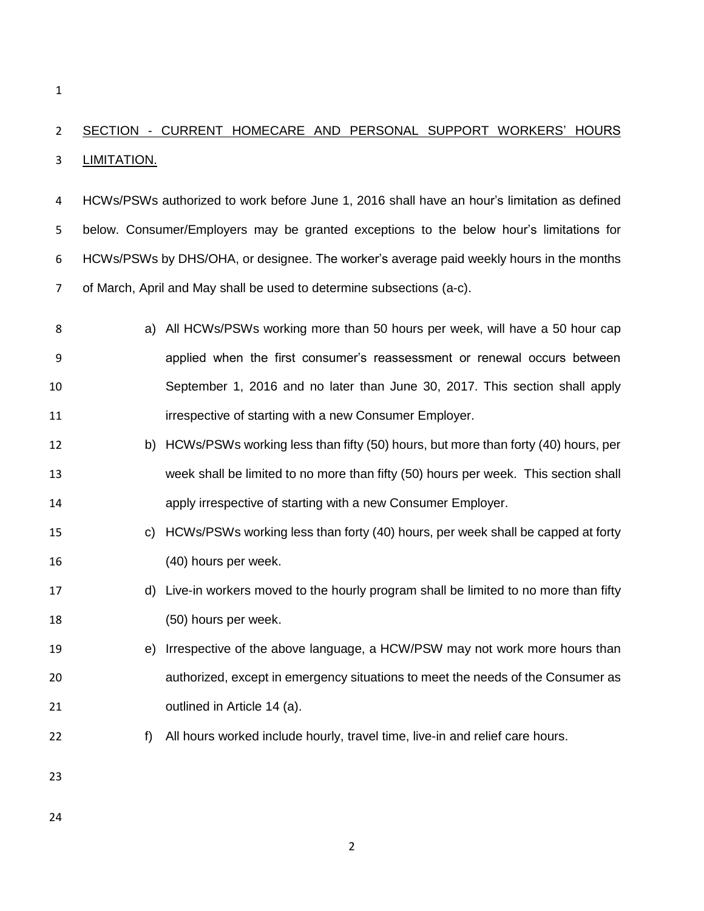# SECTION - CURRENT HOMECARE AND PERSONAL SUPPORT WORKERS' HOURS **LIMITATION.**

 HCWs/PSWs authorized to work before June 1, 2016 shall have an hour's limitation as defined below. Consumer/Employers may be granted exceptions to the below hour's limitations for HCWs/PSWs by DHS/OHA, or designee. The worker's average paid weekly hours in the months of March, April and May shall be used to determine subsections (a-c).

- a) All HCWs/PSWs working more than 50 hours per week, will have a 50 hour cap applied when the first consumer's reassessment or renewal occurs between September 1, 2016 and no later than June 30, 2017. This section shall apply **interprective of starting with a new Consumer Employer.**
- b) HCWs/PSWs working less than fifty (50) hours, but more than forty (40) hours, per week shall be limited to no more than fifty (50) hours per week. This section shall apply irrespective of starting with a new Consumer Employer.
- c) HCWs/PSWs working less than forty (40) hours, per week shall be capped at forty (40) hours per week.
- d) Live-in workers moved to the hourly program shall be limited to no more than fifty (50) hours per week.
- e) Irrespective of the above language, a HCW/PSW may not work more hours than authorized, except in emergency situations to meet the needs of the Consumer as outlined in Article 14 (a).
- f) All hours worked include hourly, travel time, live-in and relief care hours.
- 
-